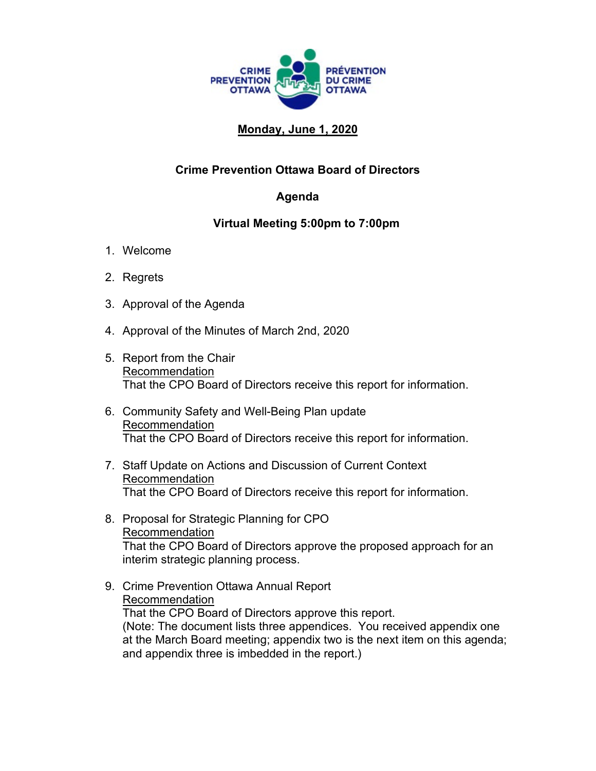

## **Monday, June 1, 2020**

## **Crime Prevention Ottawa Board of Directors**

## **Agenda**

## **Virtual Meeting 5:00pm to 7:00pm**

- 1. Welcome
- 2. Regrets
- 3. Approval of the Agenda
- 4. Approval of the Minutes of March 2nd, 2020
- 5. Report from the Chair Recommendation That the CPO Board of Directors receive this report for information.
- 6. Community Safety and Well-Being Plan update Recommendation That the CPO Board of Directors receive this report for information.
- 7. Staff Update on Actions and Discussion of Current Context Recommendation That the CPO Board of Directors receive this report for information.
- 8. Proposal for Strategic Planning for CPO Recommendation That the CPO Board of Directors approve the proposed approach for an interim strategic planning process.
- 9. Crime Prevention Ottawa Annual Report Recommendation That the CPO Board of Directors approve this report. (Note: The document lists three appendices. You received appendix one at the March Board meeting; appendix two is the next item on this agenda; and appendix three is imbedded in the report.)